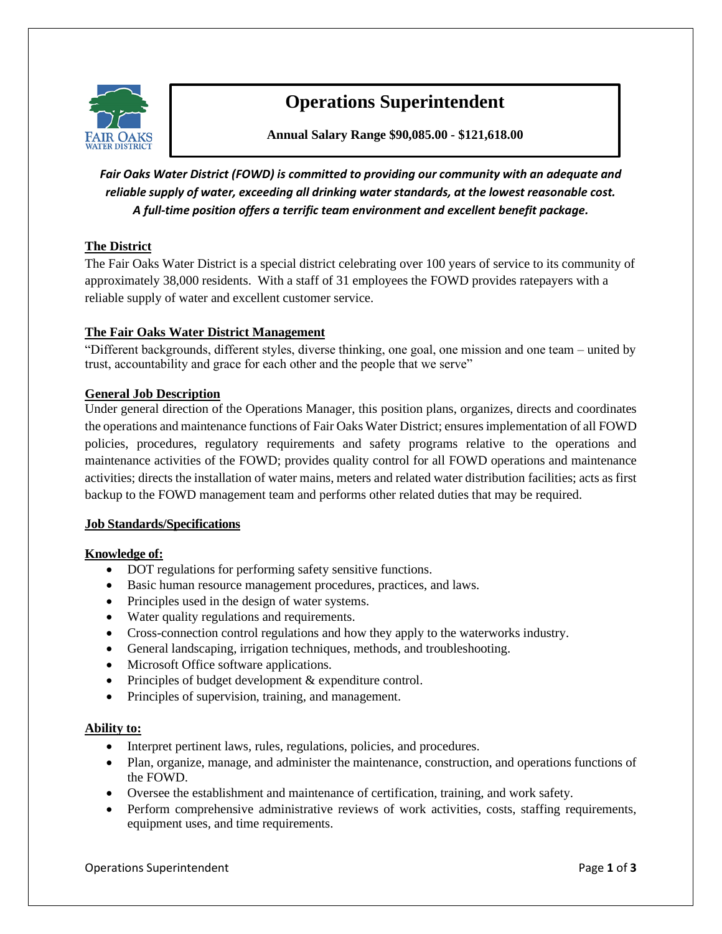

# **Operations Superintendent**

**Annual Salary Range \$90,085.00 - \$121,618.00**

*Fair Oaks Water District (FOWD) is committed to providing our community with an adequate and reliable supply of water, exceeding all drinking water standards, at the lowest reasonable cost. A full-time position offers a terrific team environment and excellent benefit package.*

# **The District**

The Fair Oaks Water District is a special district celebrating over 100 years of service to its community of approximately 38,000 residents. With a staff of 31 employees the FOWD provides ratepayers with a reliable supply of water and excellent customer service.

# **The Fair Oaks Water District Management**

"Different backgrounds, different styles, diverse thinking, one goal, one mission and one team – united by trust, accountability and grace for each other and the people that we serve"

# **General Job Description**

Under general direction of the Operations Manager, this position plans, organizes, directs and coordinates the operations and maintenance functions of Fair Oaks Water District; ensures implementation of all FOWD policies, procedures, regulatory requirements and safety programs relative to the operations and maintenance activities of the FOWD; provides quality control for all FOWD operations and maintenance activities; directs the installation of water mains, meters and related water distribution facilities; acts as first backup to the FOWD management team and performs other related duties that may be required.

# **Job Standards/Specifications**

# **Knowledge of:**

- DOT regulations for performing safety sensitive functions.
- Basic human resource management procedures, practices, and laws.
- Principles used in the design of water systems.
- Water quality regulations and requirements.
- Cross-connection control regulations and how they apply to the waterworks industry.
- General landscaping, irrigation techniques, methods, and troubleshooting.
- Microsoft Office software applications.
- Principles of budget development & expenditure control.
- Principles of supervision, training, and management.

# **Ability to:**

- Interpret pertinent laws, rules, regulations, policies, and procedures.
- Plan, organize, manage, and administer the maintenance, construction, and operations functions of the FOWD.
- Oversee the establishment and maintenance of certification, training, and work safety.
- Perform comprehensive administrative reviews of work activities, costs, staffing requirements, equipment uses, and time requirements.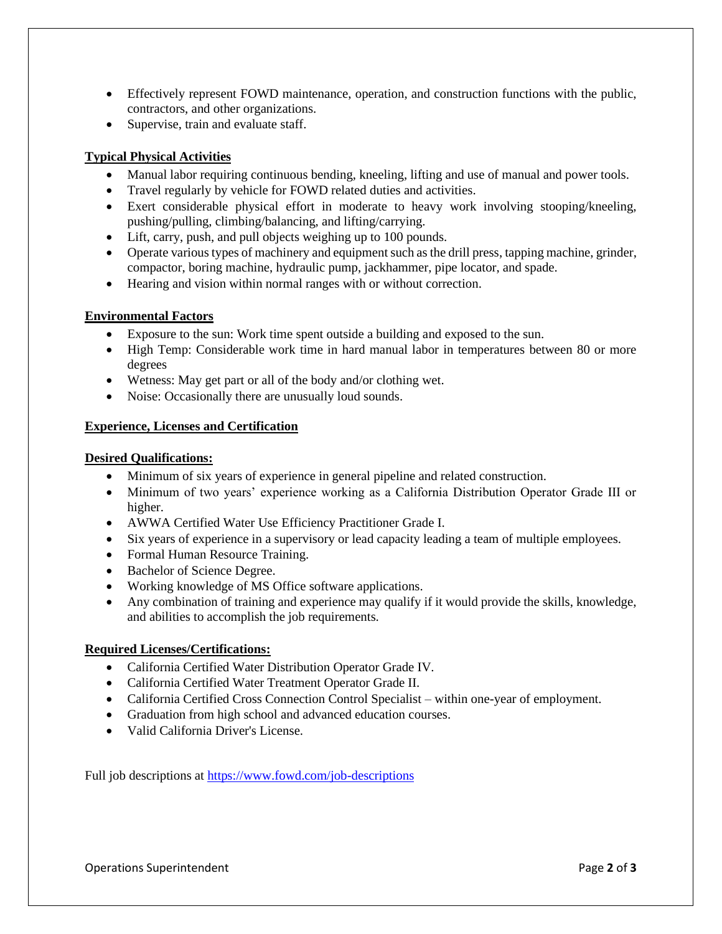- Effectively represent FOWD maintenance, operation, and construction functions with the public, contractors, and other organizations.
- Supervise, train and evaluate staff.

# **Typical Physical Activities**

- Manual labor requiring continuous bending, kneeling, lifting and use of manual and power tools.
- Travel regularly by vehicle for FOWD related duties and activities.
- Exert considerable physical effort in moderate to heavy work involving stooping/kneeling, pushing/pulling, climbing/balancing, and lifting/carrying.
- Lift, carry, push, and pull objects weighing up to 100 pounds.
- Operate various types of machinery and equipment such as the drill press, tapping machine, grinder, compactor, boring machine, hydraulic pump, jackhammer, pipe locator, and spade.
- Hearing and vision within normal ranges with or without correction.

# **Environmental Factors**

- Exposure to the sun: Work time spent outside a building and exposed to the sun.
- High Temp: Considerable work time in hard manual labor in temperatures between 80 or more degrees
- Wetness: May get part or all of the body and/or clothing wet.
- Noise: Occasionally there are unusually loud sounds.

# **Experience, Licenses and Certification**

#### **Desired Qualifications:**

- Minimum of six years of experience in general pipeline and related construction.
- Minimum of two years' experience working as a California Distribution Operator Grade III or higher.
- AWWA Certified Water Use Efficiency Practitioner Grade I.
- Six years of experience in a supervisory or lead capacity leading a team of multiple employees.
- Formal Human Resource Training.
- Bachelor of Science Degree.
- Working knowledge of MS Office software applications.
- Any combination of training and experience may qualify if it would provide the skills, knowledge, and abilities to accomplish the job requirements.

# **Required Licenses/Certifications:**

- California Certified Water Distribution Operator Grade IV.
- California Certified Water Treatment Operator Grade II.
- California Certified Cross Connection Control Specialist within one-year of employment.
- Graduation from high school and advanced education courses.
- Valid California Driver's License.

Full job descriptions at<https://www.fowd.com/job-descriptions>